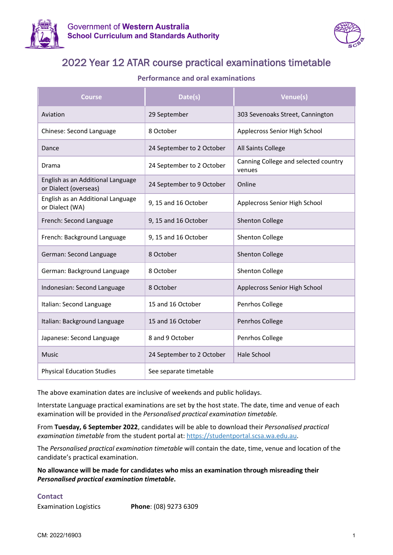



## 2022 Year 12 ATAR course practical examinations timetable

### **Performance and oral examinations**

| <b>Course</b>                                              | Date(s)                   | Venue(s)                                       |
|------------------------------------------------------------|---------------------------|------------------------------------------------|
| Aviation                                                   | 29 September              | 303 Sevenoaks Street, Cannington               |
| Chinese: Second Language                                   | 8 October                 | Applecross Senior High School                  |
| Dance                                                      | 24 September to 2 October | All Saints College                             |
| Drama                                                      | 24 September to 2 October | Canning College and selected country<br>venues |
| English as an Additional Language<br>or Dialect (overseas) | 24 September to 9 October | Online                                         |
| English as an Additional Language<br>or Dialect (WA)       | 9, 15 and 16 October      | Applecross Senior High School                  |
| French: Second Language                                    | 9, 15 and 16 October      | <b>Shenton College</b>                         |
| French: Background Language                                | 9, 15 and 16 October      | Shenton College                                |
| German: Second Language                                    | 8 October                 | <b>Shenton College</b>                         |
| German: Background Language                                | 8 October                 | Shenton College                                |
| Indonesian: Second Language                                | 8 October                 | Applecross Senior High School                  |
| Italian: Second Language                                   | 15 and 16 October         | Penrhos College                                |
| Italian: Background Language                               | 15 and 16 October         | Penrhos College                                |
| Japanese: Second Language                                  | 8 and 9 October           | Penrhos College                                |
| <b>Music</b>                                               | 24 September to 2 October | <b>Hale School</b>                             |
| <b>Physical Education Studies</b>                          | See separate timetable    |                                                |

The above examination dates are inclusive of weekends and public holidays.

Interstate Language practical examinations are set by the host state. The date, time and venue of each examination will be provided in the *Personalised practical examination timetable.*

From **Tuesday, 6 September 2022**, candidates will be able to download their *Personalised practical examination timetable* from the student portal at: [https://studentportal.scsa.wa.edu.au.](https://studentportal.scsa.wa.edu.au/)

The *Personalised practical examination timetable* will contain the date, time, venue and location of the candidate's practical examination.

**No allowance will be made for candidates who miss an examination through misreading their**  *Personalised practical examination timetable***.**

#### **Contact**

Examination Logistics **Phone**: (08) 9273 6309